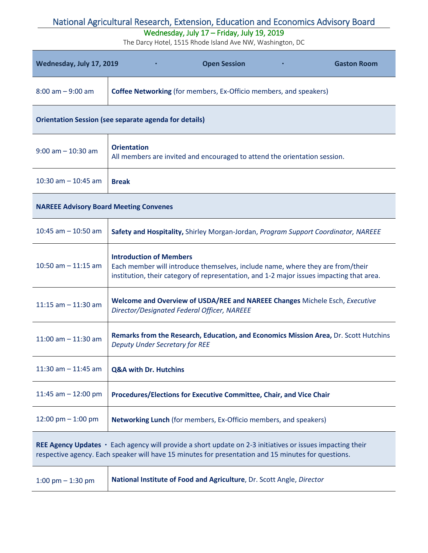### Wednesday, July 17 – Friday, July 19, 2019

| Wednesday, July 17, 2019                                                                                                                                                                                         | <b>Open Session</b><br><b>Gaston Room</b>                                                                                                                                                                    |
|------------------------------------------------------------------------------------------------------------------------------------------------------------------------------------------------------------------|--------------------------------------------------------------------------------------------------------------------------------------------------------------------------------------------------------------|
| $8:00$ am $-9:00$ am                                                                                                                                                                                             | <b>Coffee Networking</b> (for members, Ex-Officio members, and speakers)                                                                                                                                     |
| <b>Orientation Session (see separate agenda for details)</b>                                                                                                                                                     |                                                                                                                                                                                                              |
| $9:00$ am $-10:30$ am                                                                                                                                                                                            | <b>Orientation</b><br>All members are invited and encouraged to attend the orientation session.                                                                                                              |
| 10:30 am $-$ 10:45 am                                                                                                                                                                                            | <b>Break</b>                                                                                                                                                                                                 |
| <b>NAREEE Advisory Board Meeting Convenes</b>                                                                                                                                                                    |                                                                                                                                                                                                              |
| 10:45 am $-$ 10:50 am                                                                                                                                                                                            | Safety and Hospitality, Shirley Morgan-Jordan, Program Support Coordinator, NAREEE                                                                                                                           |
| 10:50 am $-$ 11:15 am                                                                                                                                                                                            | <b>Introduction of Members</b><br>Each member will introduce themselves, include name, where they are from/their<br>institution, their category of representation, and 1-2 major issues impacting that area. |
| 11:15 am $-$ 11:30 am                                                                                                                                                                                            | Welcome and Overview of USDA/REE and NAREEE Changes Michele Esch, Executive<br>Director/Designated Federal Officer, NAREEE                                                                                   |
| 11:00 am $-$ 11:30 am                                                                                                                                                                                            | Remarks from the Research, Education, and Economics Mission Area, Dr. Scott Hutchins<br><b>Deputy Under Secretary for REE</b>                                                                                |
| 11:30 am $-$ 11:45 am                                                                                                                                                                                            | <b>Q&amp;A with Dr. Hutchins</b>                                                                                                                                                                             |
| 11:45 am $-$ 12:00 pm                                                                                                                                                                                            | Procedures/Elections for Executive Committee, Chair, and Vice Chair                                                                                                                                          |
| 12:00 pm $-$ 1:00 pm                                                                                                                                                                                             | Networking Lunch (for members, Ex-Officio members, and speakers)                                                                                                                                             |
| REE Agency Updates · Each agency will provide a short update on 2-3 initiatives or issues impacting their<br>respective agency. Each speaker will have 15 minutes for presentation and 15 minutes for questions. |                                                                                                                                                                                                              |
| 1:00 pm $-$ 1:30 pm                                                                                                                                                                                              | National Institute of Food and Agriculture, Dr. Scott Angle, Director                                                                                                                                        |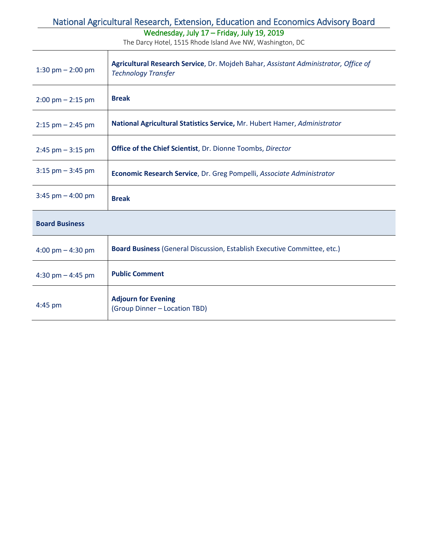### Wednesday, July 17 – Friday, July 19, 2019

| 1:30 pm $- 2:00$ pm                 | Agricultural Research Service, Dr. Mojdeh Bahar, Assistant Administrator, Office of<br><b>Technology Transfer</b> |
|-------------------------------------|-------------------------------------------------------------------------------------------------------------------|
| $2:00 \text{ pm} - 2:15 \text{ pm}$ | <b>Break</b>                                                                                                      |
| $2:15$ pm $- 2:45$ pm               | National Agricultural Statistics Service, Mr. Hubert Hamer, Administrator                                         |
| $2:45$ pm $-3:15$ pm                | <b>Office of the Chief Scientist</b> , Dr. Dionne Toombs, Director                                                |
| $3:15$ pm $-3:45$ pm                | Economic Research Service, Dr. Greg Pompelli, Associate Administrator                                             |
| $3:45$ pm $-4:00$ pm                | <b>Break</b>                                                                                                      |
| <b>Board Business</b>               |                                                                                                                   |
| 4:00 pm $-$ 4:30 pm                 | <b>Board Business (General Discussion, Establish Executive Committee, etc.)</b>                                   |
| 4:30 pm $-$ 4:45 pm                 | <b>Public Comment</b>                                                                                             |
| $4:45$ pm                           | <b>Adjourn for Evening</b><br>(Group Dinner - Location TBD)                                                       |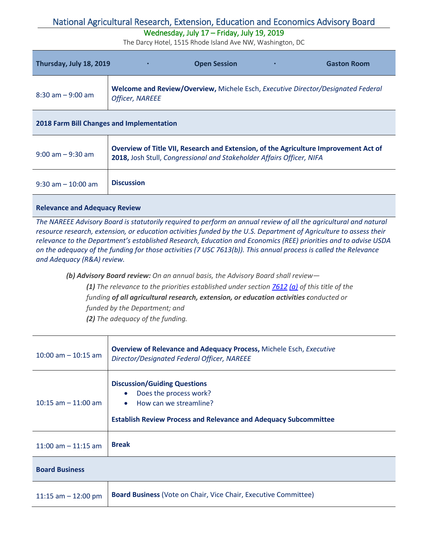### Wednesday, July 17 – Friday, July 19, 2019

The Darcy Hotel, 1515 Rhode Island Ave NW, Washington, DC

| Thursday, July 18, 2019 |                        | <b>Open Session</b> | <b>Gaston Room</b>                                                               |
|-------------------------|------------------------|---------------------|----------------------------------------------------------------------------------|
| $8:30$ am $-9:00$ am    | <b>Officer, NAREEE</b> |                     | Welcome and Review/Overview, Michele Esch, Executive Director/Designated Federal |

|  | <b>2018 Farm Bill Changes and Implementation</b> |
|--|--------------------------------------------------|
|--|--------------------------------------------------|

| $9:00$ am $-9:30$ am  | Overview of Title VII, Research and Extension, of the Agriculture Improvement Act of<br>2018, Josh Stull, Congressional and Stakeholder Affairs Officer, NIFA |
|-----------------------|---------------------------------------------------------------------------------------------------------------------------------------------------------------|
| $9:30$ am $-10:00$ am | <b>Discussion</b>                                                                                                                                             |

#### **Relevance and Adequacy Review**

*The NAREEE Advisory Board is statutorily required to perform an annual review of all the agricultural and natural resource research, extension, or education activities funded by the U.S. Department of Agriculture to assess their relevance to the Department's established Research, Education and Economics (REE) priorities and to advise USDA on the adequacy of the funding for those activities (7 USC 7613(b)). This annual process is called the Relevance and Adequacy (R&A) review.* 

*(b) Advisory Board review: On an annual basis, the Advisory Board shall review—*

*(1) The relevance to the priorities established under section [7612](http://www.law.cornell.edu/uscode/text/7/usc_sec_07_00007612----000-) [\(a\)](http://www.law.cornell.edu/uscode/text/7/usc_sec_07_00007612----000-) of this title of the funding of all agricultural research, extension, or education activities conducted or* 

*funded by the Department; and* 

*(2) The adequacy of the funding.*

| $10:00$ am $-10:15$ am | <b>Overview of Relevance and Adequacy Process, Michele Esch, Executive</b><br>Director/Designated Federal Officer, NAREEE                                                       |
|------------------------|---------------------------------------------------------------------------------------------------------------------------------------------------------------------------------|
| $10:15$ am $-11:00$ am | <b>Discussion/Guiding Questions</b><br>Does the process work?<br>$\bullet$<br>How can we streamline?<br><b>Establish Review Process and Relevance and Adequacy Subcommittee</b> |
| 11:00 am $-$ 11:15 am  | <b>Break</b>                                                                                                                                                                    |
| <b>Board Business</b>  |                                                                                                                                                                                 |
| 11:15 am $-$ 12:00 pm  | <b>Board Business (Vote on Chair, Vice Chair, Executive Committee)</b>                                                                                                          |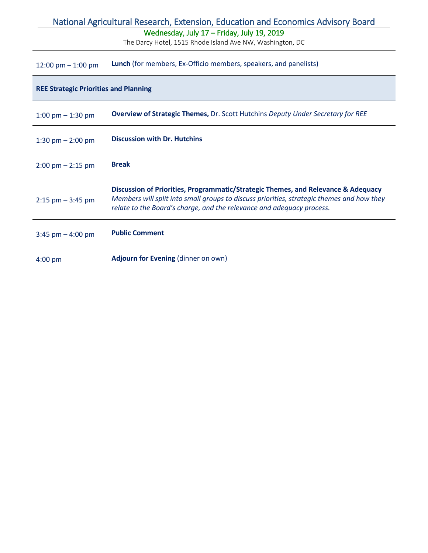### Wednesday, July 17 – Friday, July 19, 2019

| 12:00 pm $-$ 1:00 pm                         | <b>Lunch</b> (for members, Ex-Officio members, speakers, and panelists)                                                                                                                                                                                 |
|----------------------------------------------|---------------------------------------------------------------------------------------------------------------------------------------------------------------------------------------------------------------------------------------------------------|
| <b>REE Strategic Priorities and Planning</b> |                                                                                                                                                                                                                                                         |
| 1:00 pm $-$ 1:30 pm                          | <b>Overview of Strategic Themes, Dr. Scott Hutchins Deputy Under Secretary for REE</b>                                                                                                                                                                  |
| 1:30 pm $- 2:00$ pm                          | <b>Discussion with Dr. Hutchins</b>                                                                                                                                                                                                                     |
| $2:00 \text{ pm} - 2:15 \text{ pm}$          | <b>Break</b>                                                                                                                                                                                                                                            |
| $2:15$ pm $-3:45$ pm                         | Discussion of Priorities, Programmatic/Strategic Themes, and Relevance & Adequacy<br>Members will split into small groups to discuss priorities, strategic themes and how they<br>relate to the Board's charge, and the relevance and adequacy process. |
| $3:45$ pm $-4:00$ pm                         | <b>Public Comment</b>                                                                                                                                                                                                                                   |
| $4:00$ pm                                    | Adjourn for Evening (dinner on own)                                                                                                                                                                                                                     |